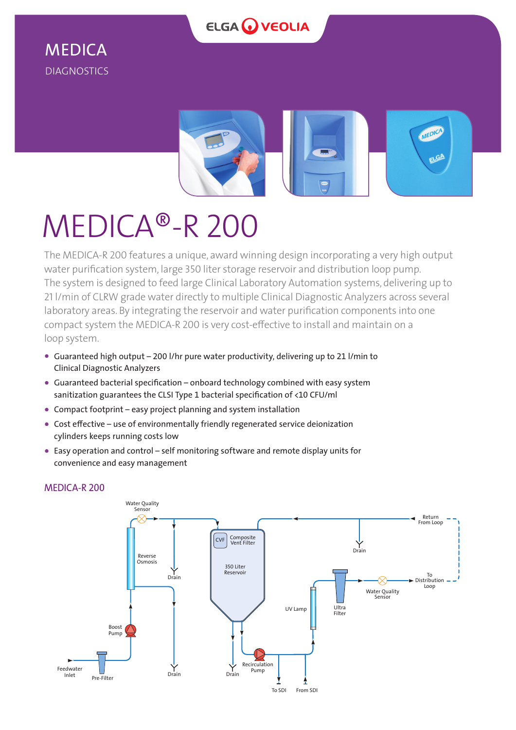

## MEDICA DIAGNOSTICS



# MEDICA®-R 200

The MEDICA-R 200 features a unique, award winning design incorporating a very high output water purification system, large 350 liter storage reservoir and distribution loop pump. The system is designed to feed large Clinical Laboratory Automation systems, delivering up to 21 l/min of CLRW grade water directly to multiple Clinical Diagnostic Analyzers across several laboratory areas. By integrating the reservoir and water purification components into one compact system the MEDICA-R 200 is very cost-effective to install and maintain on a loop system.

- **•** Guaranteed high output 200 l/hr pure water productivity, delivering up to 21 l/min to Clinical Diagnostic Analyzers
- **•** Guaranteed bacterial specification onboard technology combined with easy system sanitization guarantees the CLSI Type 1 bacterial specification of <10 CFU/ml
- **•** Compact footprint easy project planning and system installation
- **•** Cost effective use of environmentally friendly regenerated service deionization cylinders keeps running costs low
- **•** Easy operation and control self monitoring software and remote display units for convenience and easy management



### MEDICA-R 200